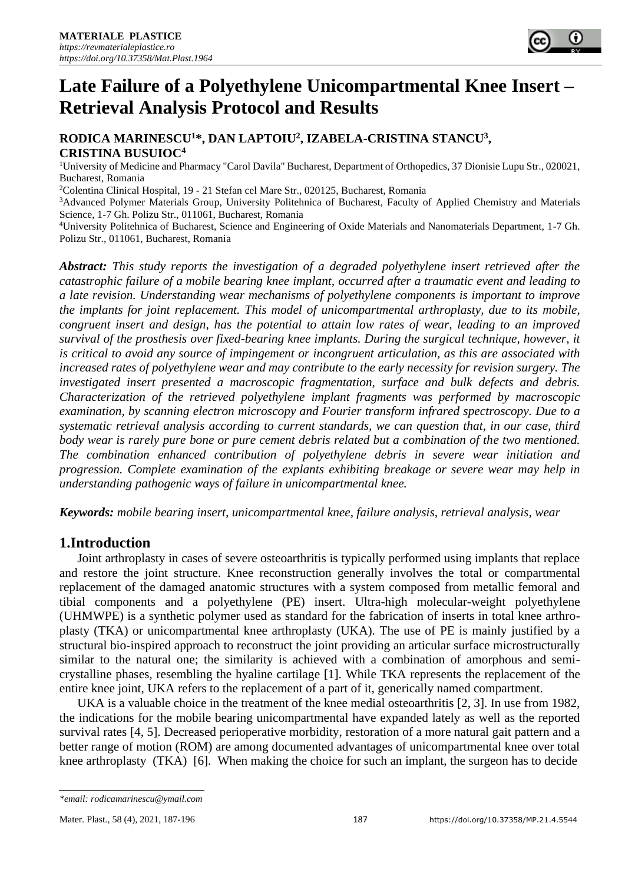# **Late Failure of a Polyethylene Unicompartmental Knee Insert – Retrieval Analysis Protocol and Results**

## **RODICA MARINESCU<sup>1</sup>\*, DAN LAPTOIU<sup>2</sup> , IZABELA-CRISTINA STANCU<sup>3</sup> , CRISTINA BUSUIOC<sup>4</sup>**

<sup>1</sup>University of Medicine and Pharmacy "Carol Davila" Bucharest, Department of Orthopedics, 37 Dionisie Lupu Str., 020021, Bucharest, Romania

<sup>2</sup>Colentina Clinical Hospital, 19 - 21 Stefan cel Mare Str., 020125, Bucharest, Romania

<sup>3</sup>Advanced Polymer Materials Group, University Politehnica of Bucharest, Faculty of Applied Chemistry and Materials Science, 1-7 Gh. Polizu Str., 011061, Bucharest, Romania

<sup>4</sup>University Politehnica of Bucharest, Science and Engineering of Oxide Materials and Nanomaterials Department, 1-7 Gh. Polizu Str., 011061, Bucharest, Romania

*Abstract: This study reports the investigation of a degraded polyethylene insert retrieved after the catastrophic failure of a mobile bearing knee implant, occurred after a traumatic event and leading to a late revision. Understanding wear mechanisms of polyethylene components is important to improve the implants for joint replacement. This model of unicompartmental arthroplasty, due to its mobile, congruent insert and design, has the potential to attain low rates of wear, leading to an improved survival of the prosthesis over fixed-bearing knee implants. During the surgical technique, however, it is critical to avoid any source of impingement or incongruent articulation, as this are associated with increased rates of polyethylene wear and may contribute to the early necessity for revision surgery. The investigated insert presented a macroscopic fragmentation, surface and bulk defects and debris. Characterization of the retrieved polyethylene implant fragments was performed by macroscopic examination, by scanning electron microscopy and Fourier transform infrared spectroscopy. Due to a systematic retrieval analysis according to current standards, we can question that, in our case, third body wear is rarely pure bone or pure cement debris related but a combination of the two mentioned. The combination enhanced contribution of polyethylene debris in severe wear initiation and progression. Complete examination of the explants exhibiting breakage or severe wear may help in understanding pathogenic ways of failure in unicompartmental knee.*

*Keywords: mobile bearing insert, unicompartmental knee, failure analysis, retrieval analysis, wear*

# **1.Introduction**

Joint arthroplasty in cases of severe osteoarthritis is typically performed using implants that replace and restore the joint structure. Knee reconstruction generally involves the total or compartmental replacement of the damaged anatomic structures with a system composed from metallic femoral and tibial components and a polyethylene (PE) insert. Ultra-high molecular-weight polyethylene (UHMWPE) is a synthetic polymer used as standard for the fabrication of inserts in total knee arthroplasty (TKA) or unicompartmental knee arthroplasty (UKA). The use of PE is mainly justified by a structural bio-inspired approach to reconstruct the joint providing an articular surface microstructurally similar to the natural one; the similarity is achieved with a combination of amorphous and semicrystalline phases, resembling the hyaline cartilage [1]. While TKA represents the replacement of the entire knee joint, UKA refers to the replacement of a part of it, generically named compartment.

UKA is a valuable choice in the treatment of the knee medial osteoarthritis [2, 3]. In use from 1982, the indications for the mobile bearing unicompartmental have expanded lately as well as the reported survival rates [4, 5]. Decreased perioperative morbidity, restoration of a more natural gait pattern and a better range of motion (ROM) are among documented advantages of unicompartmental knee over total knee arthroplasty (TKA) [6]. When making the choice for such an implant, the surgeon has to decide

*<sup>\*</sup>email: rodicamarinescu@ymail.com*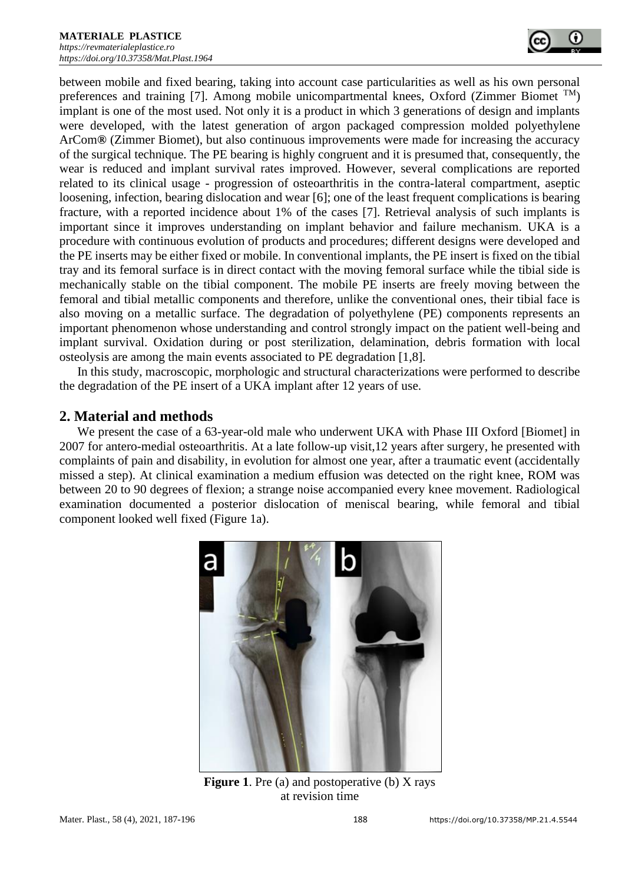between mobile and fixed bearing, taking into account case particularities as well as his own personal preferences and training [7]. Among mobile unicompartmental knees, Oxford (Zimmer Biomet  $^{TM}$ ) implant is one of the most used. Not only it is a product in which 3 generations of design and implants were developed, with the latest generation of argon packaged compression molded polyethylene ArCom**®** (Zimmer Biomet), but also continuous improvements were made for increasing the accuracy of the surgical technique. The PE bearing is highly congruent and it is presumed that, consequently, the wear is reduced and implant survival rates improved. However, several complications are reported related to its clinical usage - progression of osteoarthritis in the contra-lateral compartment, aseptic loosening, infection, bearing dislocation and wear [6]; one of the least frequent complications is bearing fracture, with a reported incidence about 1% of the cases [7]. Retrieval analysis of such implants is important since it improves understanding on implant behavior and failure mechanism. UKA is a procedure with continuous evolution of products and procedures; different designs were developed and the PE inserts may be either fixed or mobile. In conventional implants, the PE insert is fixed on the tibial tray and its femoral surface is in direct contact with the moving femoral surface while the tibial side is mechanically stable on the tibial component. The mobile PE inserts are freely moving between the femoral and tibial metallic components and therefore, unlike the conventional ones, their tibial face is also moving on a metallic surface. The degradation of polyethylene (PE) components represents an important phenomenon whose understanding and control strongly impact on the patient well-being and implant survival. Oxidation during or post sterilization, delamination, debris formation with local osteolysis are among the main events associated to PE degradation [1,8].

In this study, macroscopic, morphologic and structural characterizations were performed to describe the degradation of the PE insert of a UKA implant after 12 years of use.

### **2. Material and methods**

We present the case of a 63-year-old male who underwent UKA with Phase III Oxford [Biomet] in 2007 for antero-medial osteoarthritis. At a late follow-up visit,12 years after surgery, he presented with complaints of pain and disability, in evolution for almost one year, after a traumatic event (accidentally missed a step). At clinical examination a medium effusion was detected on the right knee, ROM was between 20 to 90 degrees of flexion; a strange noise accompanied every knee movement. Radiological examination documented a posterior dislocation of meniscal bearing, while femoral and tibial component looked well fixed (Figure 1a).



**Figure 1.** Pre (a) and postoperative (b) X rays at revision time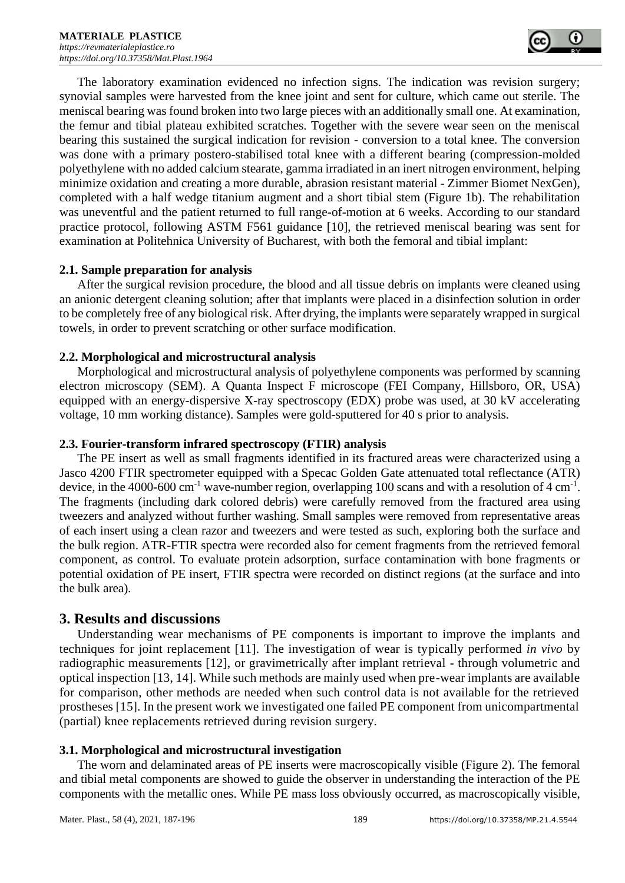The laboratory examination evidenced no infection signs. The indication was revision surgery; synovial samples were harvested from the knee joint and sent for culture, which came out sterile. The meniscal bearing was found broken into two large pieces with an additionally small one. At examination, the femur and tibial plateau exhibited scratches. Together with the severe wear seen on the meniscal bearing this sustained the surgical indication for revision - conversion to a total knee. The conversion was done with a primary postero-stabilised total knee with a different bearing (compression-molded polyethylene with no added calcium stearate, gamma irradiated in an inert nitrogen environment, helping minimize oxidation and creating a more durable, abrasion resistant material - Zimmer Biomet NexGen), completed with a half wedge titanium augment and a short tibial stem (Figure 1b). The rehabilitation was uneventful and the patient returned to full range-of-motion at 6 weeks. According to our standard practice protocol, following ASTM F561 guidance [10], the retrieved meniscal bearing was sent for examination at Politehnica University of Bucharest, with both the femoral and tibial implant:

#### **2.1. Sample preparation for analysis**

After the surgical revision procedure, the blood and all tissue debris on implants were cleaned using an anionic detergent cleaning solution; after that implants were placed in a disinfection solution in order to be completely free of any biological risk. After drying, the implants were separately wrapped in surgical towels, in order to prevent scratching or other surface modification.

#### **2.2. Morphological and microstructural analysis**

Morphological and microstructural analysis of polyethylene components was performed by scanning electron microscopy (SEM). A Quanta Inspect F microscope (FEI Company, Hillsboro, OR, USA) equipped with an energy-dispersive X-ray spectroscopy (EDX) probe was used, at 30 kV accelerating voltage, 10 mm working distance). Samples were gold-sputtered for 40 s prior to analysis.

#### **2.3. Fourier-transform infrared spectroscopy (FTIR) analysis**

The PE insert as well as small fragments identified in its fractured areas were characterized using a Jasco 4200 FTIR spectrometer equipped with a Specac Golden Gate attenuated total reflectance (ATR) device, in the 4000-600 cm<sup>-1</sup> wave-number region, overlapping 100 scans and with a resolution of 4 cm<sup>-1</sup>. The fragments (including dark colored debris) were carefully removed from the fractured area using tweezers and analyzed without further washing. Small samples were removed from representative areas of each insert using a clean razor and tweezers and were tested as such, exploring both the surface and the bulk region. ATR-FTIR spectra were recorded also for cement fragments from the retrieved femoral component, as control. To evaluate protein adsorption, surface contamination with bone fragments or potential oxidation of PE insert, FTIR spectra were recorded on distinct regions (at the surface and into the bulk area).

#### **3. Results and discussions**

Understanding wear mechanisms of PE components is important to improve the implants and techniques for joint replacement [11]. The investigation of wear is typically performed *in vivo* by radiographic measurements [12], or gravimetrically after implant retrieval - through volumetric and optical inspection [13, 14]. While such methods are mainly used when pre-wear implants are available for comparison, other methods are needed when such control data is not available for the retrieved prostheses [15]. In the present work we investigated one failed PE component from unicompartmental (partial) knee replacements retrieved during revision surgery.

#### **3.1. Morphological and microstructural investigation**

The worn and delaminated areas of PE inserts were macroscopically visible (Figure 2). The femoral and tibial metal components are showed to guide the observer in understanding the interaction of the PE components with the metallic ones. While PE mass loss obviously occurred, as macroscopically visible,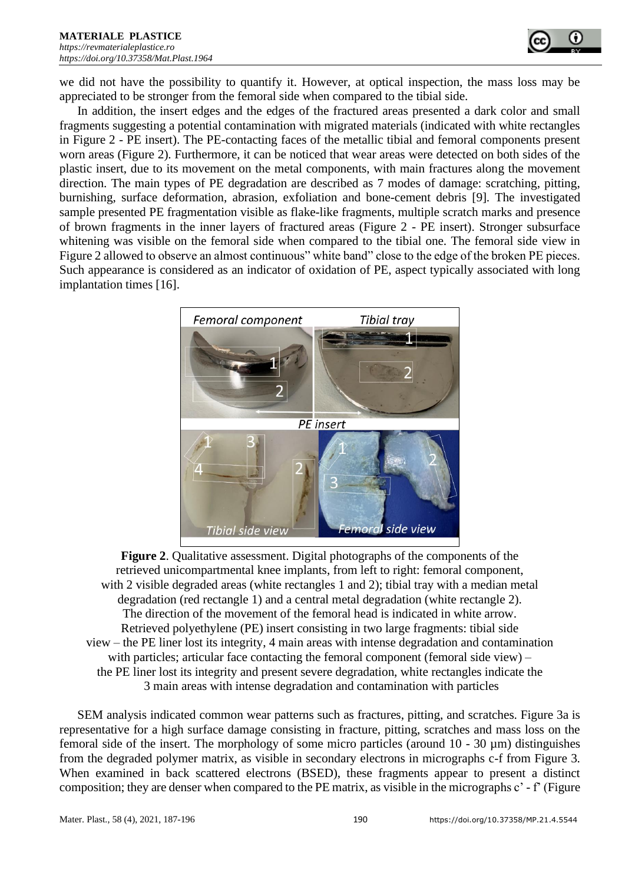

we did not have the possibility to quantify it. However, at optical inspection, the mass loss may be appreciated to be stronger from the femoral side when compared to the tibial side.

In addition, the insert edges and the edges of the fractured areas presented a dark color and small fragments suggesting a potential contamination with migrated materials (indicated with white rectangles in Figure 2 - PE insert). The PE-contacting faces of the metallic tibial and femoral components present worn areas (Figure 2). Furthermore, it can be noticed that wear areas were detected on both sides of the plastic insert, due to its movement on the metal components, with main fractures along the movement direction. The main types of PE degradation are described as 7 modes of damage: scratching, pitting, burnishing, surface deformation, abrasion, exfoliation and bone-cement debris [9]. The investigated sample presented PE fragmentation visible as flake-like fragments, multiple scratch marks and presence of brown fragments in the inner layers of fractured areas (Figure 2 - PE insert). Stronger subsurface whitening was visible on the femoral side when compared to the tibial one. The femoral side view in Figure 2 allowed to observe an almost continuous" white band" close to the edge of the broken PE pieces. Such appearance is considered as an indicator of oxidation of PE, aspect typically associated with long implantation times [16].



**Figure 2**. Qualitative assessment. Digital photographs of the components of the retrieved unicompartmental knee implants, from left to right: femoral component, with 2 visible degraded areas (white rectangles 1 and 2); tibial tray with a median metal degradation (red rectangle 1) and a central metal degradation (white rectangle 2). The direction of the movement of the femoral head is indicated in white arrow. Retrieved polyethylene (PE) insert consisting in two large fragments: tibial side view – the PE liner lost its integrity, 4 main areas with intense degradation and contamination with particles; articular face contacting the femoral component (femoral side view) – the PE liner lost its integrity and present severe degradation, white rectangles indicate the 3 main areas with intense degradation and contamination with particles

SEM analysis indicated common wear patterns such as fractures, pitting, and scratches. Figure 3a is representative for a high surface damage consisting in fracture, pitting, scratches and mass loss on the femoral side of the insert. The morphology of some micro particles (around  $10 - 30 \mu m$ ) distinguishes from the degraded polymer matrix, as visible in secondary electrons in micrographs c-f from Figure 3. When examined in back scattered electrons (BSED), these fragments appear to present a distinct composition; they are denser when compared to the PE matrix, as visible in the micrographs c' - f' (Figure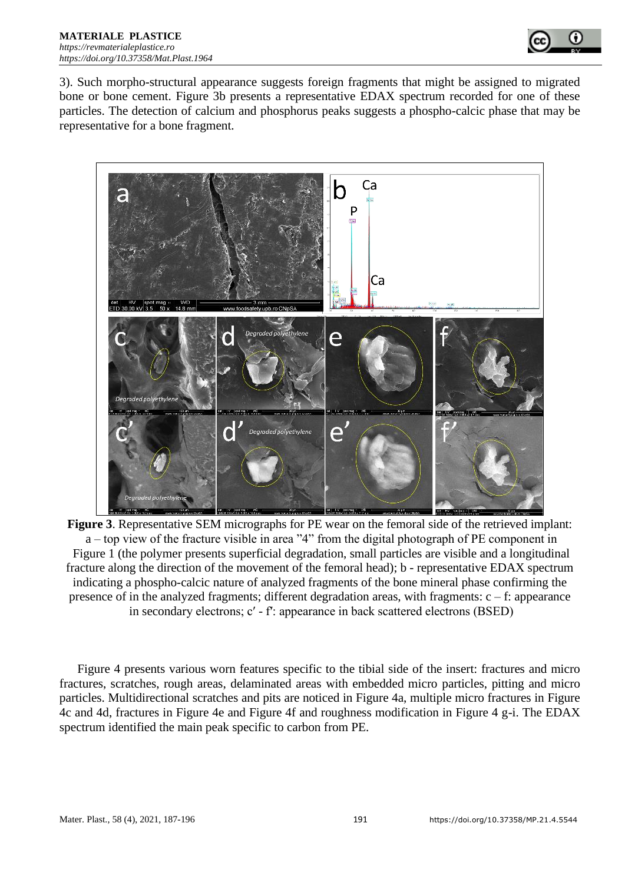

3). Such morpho-structural appearance suggests foreign fragments that might be assigned to migrated bone or bone cement. Figure 3b presents a representative EDAX spectrum recorded for one of these particles. The detection of calcium and phosphorus peaks suggests a phospho-calcic phase that may be representative for a bone fragment.



**Figure 3**. Representative SEM micrographs for PE wear on the femoral side of the retrieved implant: a – top view of the fracture visible in area "4" from the digital photograph of PE component in Figure 1 (the polymer presents superficial degradation, small particles are visible and a longitudinal fracture along the direction of the movement of the femoral head); b - representative EDAX spectrum indicating a phospho-calcic nature of analyzed fragments of the bone mineral phase confirming the presence of in the analyzed fragments; different degradation areas, with fragments:  $c - f$ : appearance in secondary electrons; c' - f': appearance in back scattered electrons (BSED)

Figure 4 presents various worn features specific to the tibial side of the insert: fractures and micro fractures, scratches, rough areas, delaminated areas with embedded micro particles, pitting and micro particles. Multidirectional scratches and pits are noticed in Figure 4a, multiple micro fractures in Figure 4c and 4d, fractures in Figure 4e and Figure 4f and roughness modification in Figure 4 g-i. The EDAX spectrum identified the main peak specific to carbon from PE.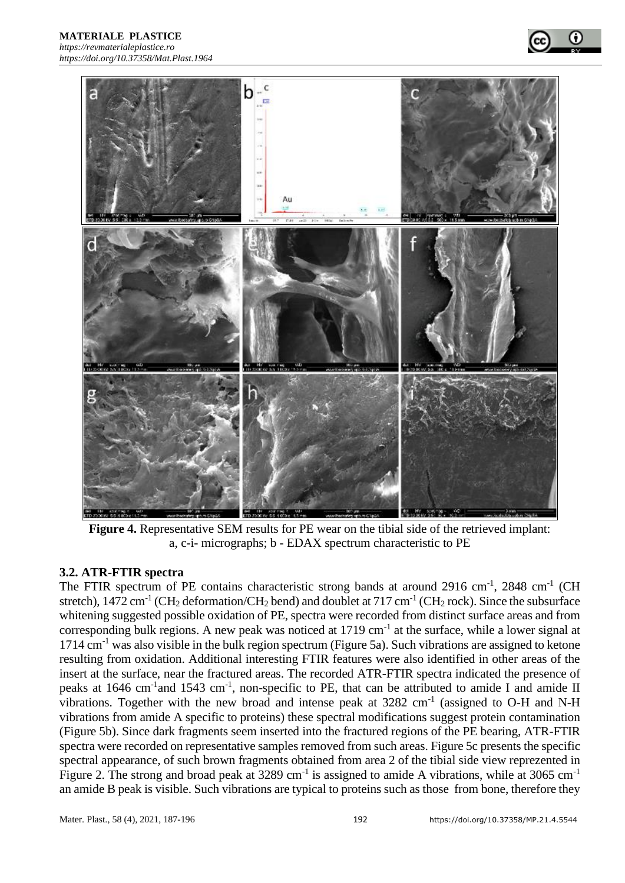

**Figure 4.** Representative SEM results for PE wear on the tibial side of the retrieved implant: a, c-i- micrographs; b - EDAX spectrum characteristic to PE

#### **3.2. ATR-FTIR spectra**

The FTIR spectrum of PE contains characteristic strong bands at around 2916 cm<sup>-1</sup>, 2848 cm<sup>-1</sup> (CH stretch),  $1472 \text{ cm}^{-1}$  (CH<sub>2</sub> deformation/CH<sub>2</sub> bend) and doublet at  $717 \text{ cm}^{-1}$  (CH<sub>2</sub> rock). Since the subsurface whitening suggested possible oxidation of PE, spectra were recorded from distinct surface areas and from corresponding bulk regions. A new peak was noticed at  $1719 \text{ cm}^{-1}$  at the surface, while a lower signal at  $1714 \text{ cm}^{-1}$  was also visible in the bulk region spectrum (Figure 5a). Such vibrations are assigned to ketone resulting from oxidation. Additional interesting FTIR features were also identified in other areas of the insert at the surface, near the fractured areas. The recorded ATR-FTIR spectra indicated the presence of peaks at 1646 cm<sup>-1</sup> and 1543 cm<sup>-1</sup>, non-specific to PE, that can be attributed to amide I and amide II vibrations. Together with the new broad and intense peak at  $3282 \text{ cm}^{-1}$  (assigned to O-H and N-H vibrations from amide A specific to proteins) these spectral modifications suggest protein contamination (Figure 5b). Since dark fragments seem inserted into the fractured regions of the PE bearing, ATR-FTIR spectra were recorded on representative samples removed from such areas. Figure 5c presents the specific spectral appearance, of such brown fragments obtained from area 2 of the tibial side view reprezented in Figure 2. The strong and broad peak at 3289 cm<sup>-1</sup> is assigned to amide A vibrations, while at 3065 cm<sup>-1</sup> an amide B peak is visible. Such vibrations are typical to proteins such as those from bone, therefore they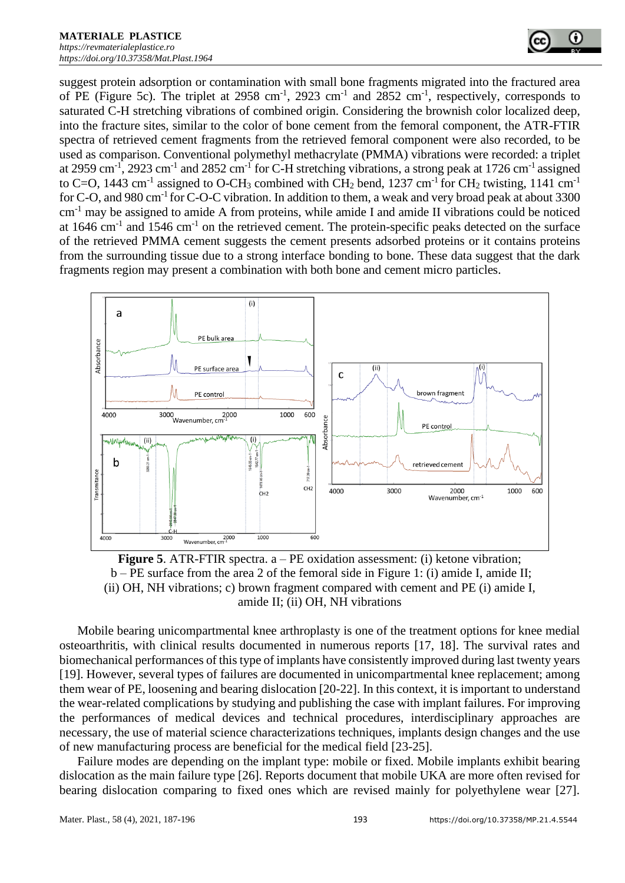suggest protein adsorption or contamination with small bone fragments migrated into the fractured area of PE (Figure 5c). The triplet at  $2958 \text{ cm}^{-1}$ ,  $2923 \text{ cm}^{-1}$  and  $2852 \text{ cm}^{-1}$ , respectively, corresponds to saturated C-H stretching vibrations of combined origin. Considering the brownish color localized deep, into the fracture sites, similar to the color of bone cement from the femoral component, the ATR-FTIR spectra of retrieved cement fragments from the retrieved femoral component were also recorded, to be used as comparison. Conventional polymethyl methacrylate (PMMA) vibrations were recorded: a triplet at 2959 cm<sup>-1</sup>, 2923 cm<sup>-1</sup> and 2852 cm<sup>-1</sup> for C-H stretching vibrations, a strong peak at 1726 cm<sup>-1</sup> assigned to C=O, 1443 cm<sup>-1</sup> assigned to O-CH<sub>3</sub> combined with CH<sub>2</sub> bend, 1237 cm<sup>-1</sup> for CH<sub>2</sub> twisting, 1141 cm<sup>-1</sup> for C-O, and 980 cm<sup>-1</sup> for C-O-C vibration. In addition to them, a weak and very broad peak at about 3300 cm-1 may be assigned to amide A from proteins, while amide I and amide II vibrations could be noticed at 1646 cm<sup>-1</sup> and 1546 cm<sup>-1</sup> on the retrieved cement. The protein-specific peaks detected on the surface of the retrieved PMMA cement suggests the cement presents adsorbed proteins or it contains proteins from the surrounding tissue due to a strong interface bonding to bone. These data suggest that the dark fragments region may present a combination with both bone and cement micro particles.



**Figure 5.** ATR-FTIR spectra. a – PE oxidation assessment: (i) ketone vibration; b – PE surface from the area 2 of the femoral side in Figure 1: (i) amide I, amide II; (ii) OH, NH vibrations; c) brown fragment compared with cement and PE (i) amide I, amide II; (ii) OH, NH vibrations

Mobile bearing unicompartmental knee arthroplasty is one of the treatment options for knee medial osteoarthritis, with clinical results documented in numerous reports [17, 18]. The survival rates and biomechanical performances of this type of implants have consistently improved during last twenty years [19]. However, several types of failures are documented in unicompartmental knee replacement; among them wear of PE, loosening and bearing dislocation [20-22]. In this context, it is important to understand the wear-related complications by studying and publishing the case with implant failures. For improving the performances of medical devices and technical procedures, interdisciplinary approaches are necessary, the use of material science characterizations techniques, implants design changes and the use of new manufacturing process are beneficial for the medical field [23-25].

Failure modes are depending on the implant type: mobile or fixed. Mobile implants exhibit bearing dislocation as the main failure type [26]. Reports document that mobile UKA are more often revised for bearing dislocation comparing to fixed ones which are revised mainly for polyethylene wear [27].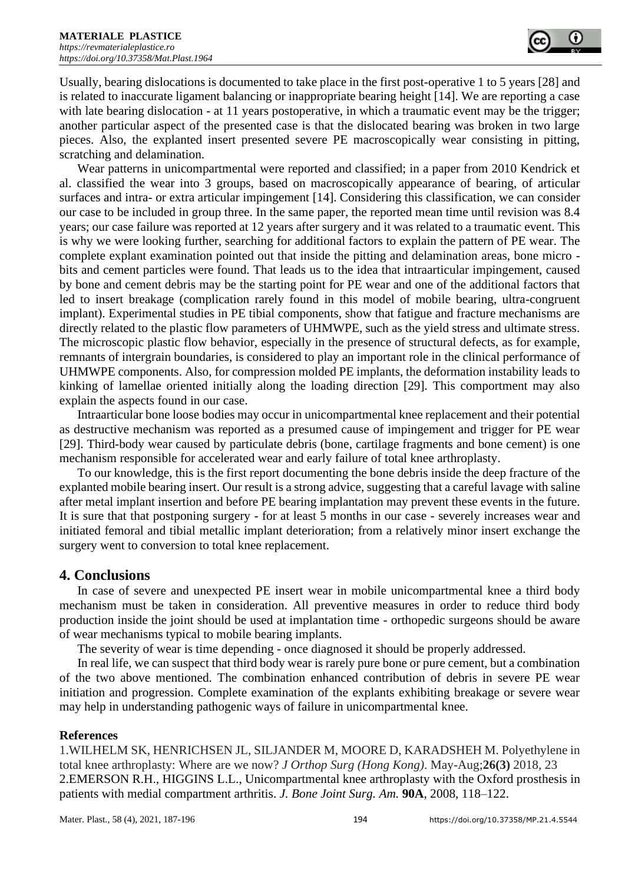Usually, bearing dislocations is documented to take place in the first post-operative 1 to 5 years [28] and is related to inaccurate ligament balancing or inappropriate bearing height [14]. We are reporting a case with late bearing dislocation - at 11 years postoperative, in which a traumatic event may be the trigger; another particular aspect of the presented case is that the dislocated bearing was broken in two large pieces. Also, the explanted insert presented severe PE macroscopically wear consisting in pitting, scratching and delamination.

Wear patterns in unicompartmental were reported and classified; in a paper from 2010 Kendrick et al. classified the wear into 3 groups, based on macroscopically appearance of bearing, of articular surfaces and intra- or extra articular impingement [14]. Considering this classification, we can consider our case to be included in group three. In the same paper, the reported mean time until revision was 8.4 years; our case failure was reported at 12 years after surgery and it was related to a traumatic event. This is why we were looking further, searching for additional factors to explain the pattern of PE wear. The complete explant examination pointed out that inside the pitting and delamination areas, bone micro bits and cement particles were found. That leads us to the idea that intraarticular impingement, caused by bone and cement debris may be the starting point for PE wear and one of the additional factors that led to insert breakage (complication rarely found in this model of mobile bearing, ultra-congruent implant). Experimental studies in PE tibial components, show that fatigue and fracture mechanisms are directly related to the plastic flow parameters of UHMWPE, such as the yield stress and ultimate stress. The microscopic plastic flow behavior, especially in the presence of structural defects, as for example, remnants of intergrain boundaries, is considered to play an important role in the clinical performance of UHMWPE components. Also, for compression molded PE implants, the deformation instability leads to kinking of lamellae oriented initially along the loading direction [29]. This comportment may also explain the aspects found in our case.

Intraarticular bone loose bodies may occur in unicompartmental knee replacement and their potential as destructive mechanism was reported as a presumed cause of impingement and trigger for PE wear [29]. Third-body wear caused by particulate debris (bone, cartilage fragments and bone cement) is one mechanism responsible for accelerated wear and early failure of total knee arthroplasty.

To our knowledge, this is the first report documenting the bone debris inside the deep fracture of the explanted mobile bearing insert. Our result is a strong advice, suggesting that a careful lavage with saline after metal implant insertion and before PE bearing implantation may prevent these events in the future. It is sure that that postponing surgery - for at least 5 months in our case - severely increases wear and initiated femoral and tibial metallic implant deterioration; from a relatively minor insert exchange the surgery went to conversion to total knee replacement.

#### **4. Conclusions**

In case of severe and unexpected PE insert wear in mobile unicompartmental knee a third body mechanism must be taken in consideration. All preventive measures in order to reduce third body production inside the joint should be used at implantation time - orthopedic surgeons should be aware of wear mechanisms typical to mobile bearing implants.

The severity of wear is time depending - once diagnosed it should be properly addressed.

In real life, we can suspect that third body wear is rarely pure bone or pure cement, but a combination of the two above mentioned. The combination enhanced contribution of debris in severe PE wear initiation and progression. Complete examination of the explants exhibiting breakage or severe wear may help in understanding pathogenic ways of failure in unicompartmental knee.

#### **References**

1.WILHELM SK, HENRICHSEN JL, SILJANDER M, MOORE D, KARADSHEH M. Polyethylene in total knee arthroplasty: Where are we now? *J Orthop Surg (Hong Kong)*. May-Aug;**26(3)** 2018, 23 2.EMERSON R.H., HIGGINS L.L., Unicompartmental knee arthroplasty with the Oxford prosthesis in patients with medial compartment arthritis. *J. Bone Joint Surg. Am.* **90A**, 2008, 118–122.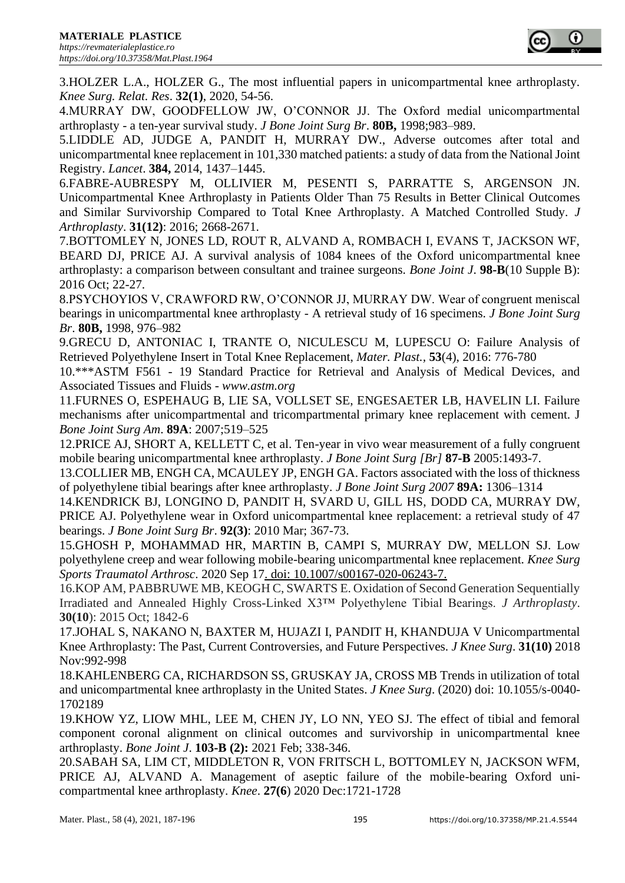3.HOLZER L.A., HOLZER G., The most influential papers in unicompartmental knee arthroplasty. *Knee Surg. Relat. Res*. **32(1)**, 2020, 54-56.

4.MURRAY DW, GOODFELLOW JW, O'CONNOR JJ. The Oxford medial unicompartmental arthroplasty - a ten-year survival study. *J Bone Joint Surg Br*. **80B,** 1998;983–989.

5.LIDDLE AD, JUDGE A, PANDIT H, MURRAY DW., Adverse outcomes after total and unicompartmental knee replacement in 101,330 matched patients: a study of data from the National Joint Registry. *Lancet*. **384,** 2014, 1437–1445.

6.FABRE-AUBRESPY M, OLLIVIER M, PESENTI S, PARRATTE S, ARGENSON JN. Unicompartmental Knee Arthroplasty in Patients Older Than 75 Results in Better Clinical Outcomes and Similar Survivorship Compared to Total Knee Arthroplasty. A Matched Controlled Study. *J Arthroplasty*. **31(12)**: 2016; 2668-2671.

7.BOTTOMLEY N, JONES LD, ROUT R, ALVAND A, ROMBACH I, EVANS T, JACKSON WF, BEARD DJ, PRICE AJ. A survival analysis of 1084 knees of the Oxford unicompartmental knee arthroplasty: a comparison between consultant and trainee surgeons. *Bone Joint J*. **98-B**(10 Supple B): 2016 Oct; 22-27.

8.PSYCHOYIOS V, CRAWFORD RW, O'CONNOR JJ, MURRAY DW. Wear of congruent meniscal bearings in unicompartmental knee arthroplasty - A retrieval study of 16 specimens. *J Bone Joint Surg Br*. **80B,** 1998, 976–982

9.GRECU D, ANTONIAC I, TRANTE O, NICULESCU M, LUPESCU O: Failure Analysis of Retrieved Polyethylene Insert in Total Knee Replacement, *Mater. Plast.,* **53**(4), 2016: 776-780

10.\*\*\*ASTM F561 - 19 Standard Practice for Retrieval and Analysis of Medical Devices, and Associated Tissues and Fluids - *www.astm.org*

11.FURNES O, ESPEHAUG B, LIE SA, VOLLSET SE, ENGESAETER LB, HAVELIN LI. Failure mechanisms after unicompartmental and tricompartmental primary knee replacement with cement. J *Bone Joint Surg Am*. **89A**: 2007;519–525

12.PRICE AJ, SHORT A, KELLETT C, et al. Ten-year in vivo wear measurement of a fully congruent mobile bearing unicompartmental knee arthroplasty. *J Bone Joint Surg [Br]* **87-B** 2005:1493-7.

13.COLLIER MB, ENGH CA, MCAULEY JP, ENGH GA. Factors associated with the loss of thickness of polyethylene tibial bearings after knee arthroplasty. *J Bone Joint Surg 2007* **89A:** 1306–1314

14.KENDRICK BJ, LONGINO D, PANDIT H, SVARD U, GILL HS, DODD CA, MURRAY DW, PRICE AJ. Polyethylene wear in Oxford unicompartmental knee replacement: a retrieval study of 47 bearings. *J Bone Joint Surg Br*. **92(3)**: 2010 Mar; 367-73.

15.GHOSH P, MOHAMMAD HR, MARTIN B, CAMPI S, MURRAY DW, MELLON SJ. Low polyethylene creep and wear following mobile-bearing unicompartmental knee replacement. *Knee Surg Sports Traumatol Arthrosc*. 2020 Sep 17. doi: 10.1007/s00167-020-06243-7.

16.KOP AM, PABBRUWE MB, KEOGH C, SWARTS E. Oxidation of Second Generation Sequentially Irradiated and Annealed Highly Cross-Linked X3™ Polyethylene Tibial Bearings. *J Arthroplasty*. **30(10**): 2015 Oct; 1842-6

17.JOHAL S, NAKANO N, BAXTER M, HUJAZI I, PANDIT H, KHANDUJA V Unicompartmental Knee Arthroplasty: The Past, Current Controversies, and Future Perspectives. *J Knee Surg*. **31(10)** 2018 Nov:992-998

18.KAHLENBERG CA, RICHARDSON SS, GRUSKAY JA, CROSS MB Trends in utilization of total and unicompartmental knee arthroplasty in the United States. *J Knee Surg*. (2020) doi: 10.1055/s-0040- 1702189

19.KHOW YZ, LIOW MHL, LEE M, CHEN JY, LO NN, YEO SJ. The effect of tibial and femoral component coronal alignment on clinical outcomes and survivorship in unicompartmental knee arthroplasty. *Bone Joint J*. **103-B (2):** 2021 Feb; 338-346.

20.SABAH SA, LIM CT, MIDDLETON R, VON FRITSCH L, BOTTOMLEY N, JACKSON WFM, PRICE AJ, ALVAND A. Management of aseptic failure of the mobile-bearing Oxford unicompartmental knee arthroplasty. *Knee*. **27(6**) 2020 Dec:1721-1728